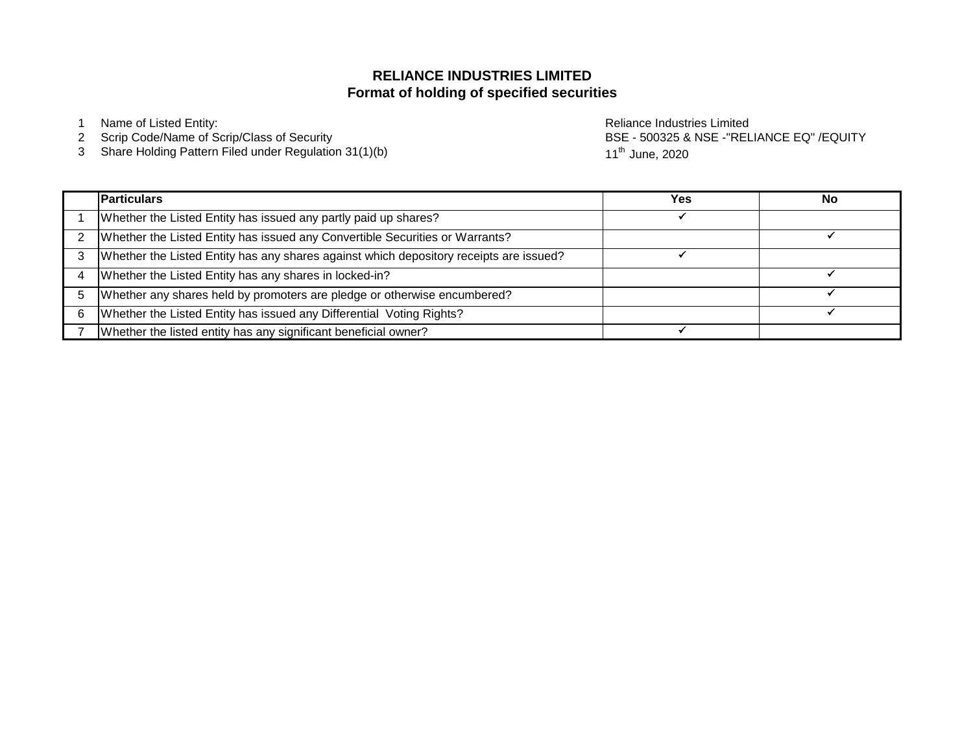# **Format of holding of specified securities RELIANCE INDUSTRIES LIMITED**

Scrip Code/Name of Scrip/Class of Security

Share Holding Pattern Filed under Regulation 31(1)(b)

 Name of Listed Entity: Reliance Industries Limited BSE - 500325 & NSE -"RELIANCE EQ" /EQUITY 11<sup>th</sup> June, 2020

|   | <b>Particulars</b>                                                                     | Yes | No |
|---|----------------------------------------------------------------------------------------|-----|----|
|   | Whether the Listed Entity has issued any partly paid up shares?                        |     |    |
|   | Whether the Listed Entity has issued any Convertible Securities or Warrants?           |     |    |
|   | Whether the Listed Entity has any shares against which depository receipts are issued? |     |    |
|   | Whether the Listed Entity has any shares in locked-in?                                 |     |    |
|   | Whether any shares held by promoters are pledge or otherwise encumbered?               |     |    |
| 6 | Whether the Listed Entity has issued any Differential Voting Rights?                   |     |    |
|   | Whether the listed entity has any significant beneficial owner?                        |     |    |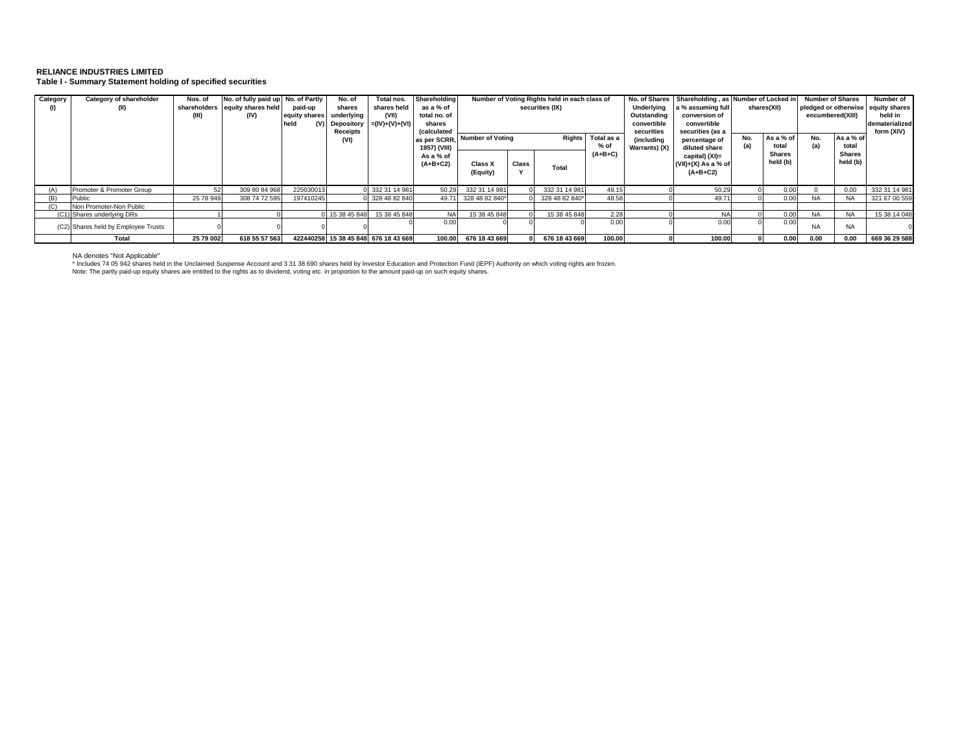#### **RELIANCE INDUSTRIES LIMITED Table I - Summary Statement holding of specified securities**

| Category | Category of shareholder<br>(II)     | Nos. of<br>(III) | No. of fully paid up No. of Partly<br>shareholders equity shares held<br>(IV) | paid-up<br>equity shares<br>held<br>(V) I | No. of<br>shares<br>underlying<br>Depository | Total nos.<br>shares held<br>(VII)<br>$= (IV)+(V)+(V)$ | Shareholding<br>as a % of<br>total no. of<br>shares | Number of Voting Rights held in each class of<br>securities (IX) |              |                | Underlying<br>Outstanding<br>convertible | No. of Shares Shareholding, as Number of Locked in<br>a % assuming full<br>conversion of<br>convertible |                                                       | shares(XII) | <b>Number of Shares</b><br>pledged or otherwise<br>encumbered(XIII) |            | Number of<br>equity shares<br>held in<br>dematerialized |               |
|----------|-------------------------------------|------------------|-------------------------------------------------------------------------------|-------------------------------------------|----------------------------------------------|--------------------------------------------------------|-----------------------------------------------------|------------------------------------------------------------------|--------------|----------------|------------------------------------------|---------------------------------------------------------------------------------------------------------|-------------------------------------------------------|-------------|---------------------------------------------------------------------|------------|---------------------------------------------------------|---------------|
|          |                                     |                  |                                                                               |                                           | Receipts<br>(VI)                             |                                                        | (calculated<br>as per SCRR.<br>1957) (VIII)         | <b>Number of Voting</b>                                          |              | Rights         | Total as a<br>% of                       | securities<br>(including<br>Warrants) (X)                                                               | securities (as a<br>percentage of<br>diluted share    | No.         | As a % of<br>total                                                  | No.<br>(a) | As a % of<br>total                                      | form (XIV)    |
|          |                                     |                  |                                                                               |                                           |                                              |                                                        | As a % of<br>$(A+B+C2)$                             | Class X<br>(Equity)                                              | <b>Class</b> | Total          | $(A+B+C)$                                |                                                                                                         | capital) (XI)=<br>$(VII)+(X)$ As a % of<br>$(A+B+C2)$ |             | Shares<br>held (b)                                                  |            | <b>Shares</b><br>held (b)                               |               |
|          | Promoter & Promoter Group           |                  | 309 80 84 968                                                                 | 225030013                                 |                                              | 332 31 14 981                                          | 50.29                                               | 332 31 14 981                                                    |              | 332 31 14 981  | 49.15                                    |                                                                                                         | 50.29                                                 |             | 0.00                                                                |            | 0.00                                                    | 332 31 14 981 |
|          | Public                              | 25 78 949        | 308 74 72 595                                                                 | 197410245                                 |                                              | 328 48 82 840                                          | 49.71                                               | 328 48 82 840*                                                   |              | 328 48 82 840* | 48.58                                    |                                                                                                         | 49.71                                                 |             | 0.0                                                                 | <b>NA</b>  | <b>NA</b>                                               | 321 67 00 559 |
|          | Non Promoter-Non Public             |                  |                                                                               |                                           |                                              |                                                        |                                                     |                                                                  |              |                |                                          |                                                                                                         |                                                       |             |                                                                     |            |                                                         |               |
|          | (C1) Shares underlying DRs          |                  |                                                                               |                                           | 15 38 45 848                                 | 15 38 45 848                                           | <b>NA</b>                                           | 15 38 45 848                                                     |              | 15 38 45 848   | 2.28                                     |                                                                                                         | <b>NA</b>                                             |             | 0.00                                                                | <b>NA</b>  | <b>NA</b>                                               | 15 38 14 048  |
|          | (C2) Shares held by Employee Trusts |                  |                                                                               |                                           |                                              |                                                        | 0.00                                                |                                                                  |              |                | 0.00                                     |                                                                                                         | 0.00                                                  |             | 0.0                                                                 | <b>NA</b>  | <b>NA</b>                                               |               |
|          | Total                               | 25 79 002        | 618 55 57 563                                                                 |                                           |                                              | 422440258 15 38 45 848 676 18 43 669                   | 100.00                                              | 676 18 43 669                                                    |              | 676 18 43 669  | 100.00                                   |                                                                                                         | 100.00                                                |             | 0.00                                                                | 0.00       | 0.00                                                    | 669 36 29 588 |

NA denotes "Not Applicable"

\* Includes 74 05 942 shares held in the Unclaimed Suspense Account and 3 31 38 690 shares held by Investor Education and Protection Fund (IEPF) Authority on which voting rights are frozen.<br>Note: The partly paid-up equity s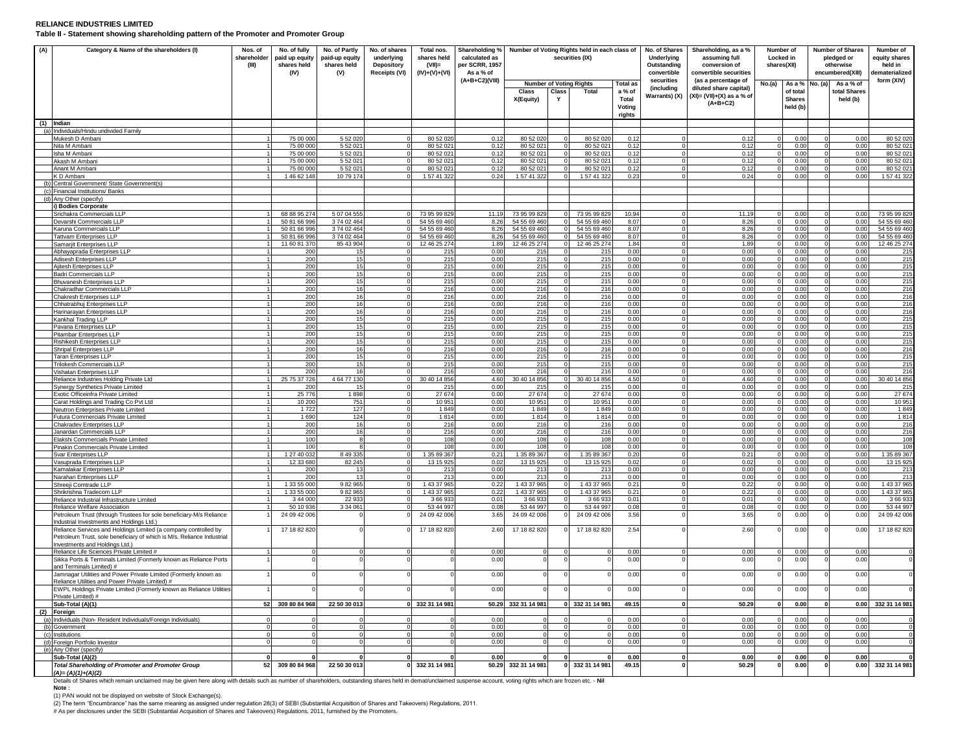## **RELIANCE INDUSTRIES LIMITED**

**Table II - Statement showing shareholding pattern of the Promoter and Promoter Group**

| (A) | Category & Name of the shareholders (I)                                | Nos. of<br>shareholder<br>(III) | No. of fully<br>paid up equity<br>shares held<br>(IV) | No. of Partly<br>paid-up equity<br>shares held<br>(V) | No. of shares<br>underlying<br>Depository<br>Receipts (VI) | Total nos.<br>shares held<br>$(VII)$ =<br>$(IV)+(V)+(VI)$ | Shareholding %<br>calculated as<br>per SCRR, 1957<br>As a % of |               |          | Number of Voting Rights held in each class of<br>securities (IX) |                 | No. of Shares<br>Underlying<br>Outstanding<br>convertible | Shareholding, as a %<br>assuming full<br>conversion of<br>convertible securities |          | Number of<br>Locked in<br>shares(XII) | <b>Number of Shares</b><br>pledged or<br>otherwise<br>encumbered(XIII) | Number of<br>equity shares<br>held in<br>ematerialized |
|-----|------------------------------------------------------------------------|---------------------------------|-------------------------------------------------------|-------------------------------------------------------|------------------------------------------------------------|-----------------------------------------------------------|----------------------------------------------------------------|---------------|----------|------------------------------------------------------------------|-----------------|-----------------------------------------------------------|----------------------------------------------------------------------------------|----------|---------------------------------------|------------------------------------------------------------------------|--------------------------------------------------------|
|     |                                                                        |                                 |                                                       |                                                       |                                                            |                                                           | (A+B+C2)(VIII)                                                 |               |          | <b>Number of Voting Rights</b>                                   | <b>Total as</b> | securities                                                | (as a percentage of                                                              | No.(a)   | As a % No. (a)                        | As a % of                                                              | form (XIV)                                             |
|     |                                                                        |                                 |                                                       |                                                       |                                                            |                                                           |                                                                | Class         | Class    | Total                                                            | a % of          | (including                                                | diluted share capital)                                                           |          | of total                              | total Shares                                                           |                                                        |
|     |                                                                        |                                 |                                                       |                                                       |                                                            |                                                           |                                                                |               | Y        |                                                                  | Total           | Warrants) (X)                                             | $(XI) = (VII)+(X)$ as a % of                                                     |          | <b>Shares</b>                         |                                                                        |                                                        |
|     |                                                                        |                                 |                                                       |                                                       |                                                            |                                                           |                                                                | X(Equity)     |          |                                                                  | Voting          |                                                           | $(A+B+C2)$                                                                       |          | held (b)                              | held (b)                                                               |                                                        |
|     |                                                                        |                                 |                                                       |                                                       |                                                            |                                                           |                                                                |               |          |                                                                  |                 |                                                           |                                                                                  |          |                                       |                                                                        |                                                        |
|     |                                                                        |                                 |                                                       |                                                       |                                                            |                                                           |                                                                |               |          |                                                                  | rights          |                                                           |                                                                                  |          |                                       |                                                                        |                                                        |
|     | $(1)$ Indian                                                           |                                 |                                                       |                                                       |                                                            |                                                           |                                                                |               |          |                                                                  |                 |                                                           |                                                                                  |          |                                       |                                                                        |                                                        |
|     | (a) Individuals/Hindu undivided Family                                 |                                 |                                                       |                                                       |                                                            |                                                           |                                                                |               |          |                                                                  |                 |                                                           |                                                                                  |          |                                       |                                                                        |                                                        |
|     | Mukesh D Ambani                                                        |                                 | 75 00 000                                             | 5 52 020                                              |                                                            | 80 52 020                                                 | 0.12                                                           | 80 52 020     |          | 80 52 02                                                         | 0.12            |                                                           | 0.12                                                                             |          | 0.00                                  | 0.00                                                                   | 80 52 020                                              |
|     | Nita M Ambani                                                          |                                 | 75 00 000                                             | 5 52 02                                               |                                                            | 80 52 021                                                 | 0.12                                                           | 80 52 021     |          | 80 52 02                                                         | 0.12            |                                                           | 0.12                                                                             |          | 0.00                                  | 0.00                                                                   | 80 52 021                                              |
|     | Isha M Ambani                                                          |                                 | 75 00 00                                              | 5 52 02                                               |                                                            | 80 52 02                                                  | 0.12                                                           | 80 52 021     |          | 80 52 02                                                         | 0.12            |                                                           | 0.12                                                                             |          | 0.00                                  | 0.00                                                                   | 80 52 021                                              |
|     | Akash M Ambani                                                         |                                 | 75 00 000                                             | 5 52 021                                              |                                                            | 80 52 021                                                 | 0.12                                                           | 80 52 021     |          | 80 52 02                                                         | 0.12            |                                                           | 0.12                                                                             |          | 0.00                                  | 0.00                                                                   | 80 52 021                                              |
|     | Anant M Ambani                                                         |                                 | 75.00.000                                             | 5 52 02                                               |                                                            | 80.52.02                                                  | 0.12                                                           | 80.52.02      |          | 80 52 02                                                         | 0.12            |                                                           | 0.12                                                                             |          | 0.00                                  | 0.00                                                                   | 80 52 021                                              |
|     | <b>CD</b> Ambani                                                       |                                 | 1 46 62 148                                           | 10 79 174                                             |                                                            | 1 57 41 322                                               | 0.24                                                           | 1 57 41 322   |          | 1 57 41 32                                                       | 0.23            |                                                           | 0.24                                                                             |          | 0.00                                  | 0.00                                                                   | 1 57 41 322                                            |
| (h) | Central Government/ State Government(s)                                |                                 |                                                       |                                                       |                                                            |                                                           |                                                                |               |          |                                                                  |                 |                                                           |                                                                                  |          |                                       |                                                                        |                                                        |
| (c) | Financial Institutions/ Banks                                          |                                 |                                                       |                                                       |                                                            |                                                           |                                                                |               |          |                                                                  |                 |                                                           |                                                                                  |          |                                       |                                                                        |                                                        |
|     | (d) Any Other (specify)                                                |                                 |                                                       |                                                       |                                                            |                                                           |                                                                |               |          |                                                                  |                 |                                                           |                                                                                  |          |                                       |                                                                        |                                                        |
|     | <b>Bodies Corporate</b>                                                |                                 |                                                       |                                                       |                                                            |                                                           |                                                                |               |          |                                                                  |                 |                                                           |                                                                                  |          |                                       |                                                                        |                                                        |
|     | Srichakra Commercials LLP                                              |                                 | 68 88 95 274                                          | 5 07 04 555                                           |                                                            | 73 95 99 829                                              | 11.19                                                          | 73 95 99 829  | $\Omega$ | 73 95 99 829                                                     | 10.94           |                                                           | 11.19                                                                            |          | 0.00                                  | 0.00                                                                   | 73 95 99 829                                           |
|     | Devarshi Commercials LLP                                               |                                 | 50 81 66 996                                          | 374 02 464                                            |                                                            | 54 55 69 460                                              | 8.26                                                           | 54 55 69 460  |          | 54 55 69 460                                                     | 8.07            |                                                           | 8.26                                                                             |          | 0.00                                  | 0.00                                                                   | 54 55 69 460                                           |
|     | Karuna Commercials LLP                                                 |                                 | 50 81 66 996                                          | 374 02 464                                            |                                                            | 54 55 69 460                                              | 8.26                                                           | 54 55 69 460  |          | 54 55 69 460                                                     | 8.07            |                                                           | 8.26                                                                             |          | 0.00                                  | 0.00                                                                   | 54 55 69 460                                           |
|     | <b>Tattvam Enterprises LLP</b>                                         |                                 | 50 81 66 996                                          | 3 74 02 464                                           |                                                            | 54 55 69 460                                              | 8.26                                                           | 54 55 69 460  |          | 54 55 69 460                                                     | 8.07            |                                                           | 8.26                                                                             |          | 0.00                                  | 0.00                                                                   | 54 55 69 460                                           |
|     | Samarjit Enterprises LLP                                               |                                 | 11 60 81 370                                          | 85 43 904                                             |                                                            | 12 46 25 274                                              | 1.89                                                           | 12 46 25 274  |          | 12 46 25 27                                                      | 1.84            |                                                           | 1.89                                                                             |          | 0.00                                  | 0.00                                                                   | 12 46 25 274                                           |
|     | Abhayaprada Enterprises LLF                                            |                                 | 200                                                   | 15                                                    |                                                            | 215                                                       | 0.00                                                           | 215           |          | 21!                                                              | 0.00            |                                                           | 0.00                                                                             |          | 0.00                                  | 0.00                                                                   | 215                                                    |
|     | <b>Adisesh Enterprises LLP</b>                                         |                                 | 200                                                   | 15                                                    |                                                            | 215                                                       | 0.00                                                           | 215           |          | 215                                                              | 0.00            |                                                           | 0.00                                                                             |          | 0.00                                  | 0.00                                                                   | 215                                                    |
|     | Ajitesh Enterprises LLP                                                |                                 | 200                                                   | 15                                                    |                                                            | 215                                                       | 0.00                                                           | 215           |          | 215                                                              | 0.00            |                                                           | 0.00                                                                             |          | 0.00                                  | 0.00                                                                   | 215                                                    |
|     | Badri Commercials LLP                                                  |                                 | 200                                                   | 15                                                    |                                                            | 215                                                       | 0.00                                                           | 215           |          | 215                                                              | 0.00            |                                                           | 0.00                                                                             |          | 0.00                                  | 0.00                                                                   | 215                                                    |
|     | <b>Bhuvanesh Enterprises LLP</b>                                       |                                 | 200                                                   | 15                                                    |                                                            | 215                                                       | 0.00                                                           | 215           | $\Omega$ | 215                                                              | 0.00            |                                                           | 0.00                                                                             |          | 0.00                                  | 0.00                                                                   | 215                                                    |
|     | Chakradhar Commercials LLF                                             |                                 | 200                                                   | 16                                                    |                                                            | 216                                                       | 0 <sup>0</sup>                                                 | 216           |          | 216                                                              | 0.00            |                                                           | 0.00                                                                             | $\Omega$ | 0.00                                  | 0.00                                                                   | 216                                                    |
|     | Chakresh Enterprises LLP                                               |                                 | 200                                                   | 16                                                    |                                                            | 216                                                       | 0.00                                                           | 216           |          | 216                                                              | 0.00            |                                                           | 0.00                                                                             |          | 0.00                                  | 0.00                                                                   | 216                                                    |
|     | Chhatrabhuj Enterprises LLP                                            |                                 | 200                                                   | 16                                                    |                                                            | 216                                                       | 0.00                                                           | 216           | $\Omega$ | 216                                                              | 0.00            |                                                           | 0.00                                                                             | $\Omega$ | 0.00                                  | 0.00                                                                   | 216                                                    |
|     | Harinarayan Enterprises LLP                                            |                                 | 200                                                   | 16                                                    |                                                            | 216                                                       | 0.00                                                           | 216           |          | 216                                                              | 0.00            |                                                           | 0.00                                                                             |          | 0.00                                  | 0.00                                                                   | 216                                                    |
|     | Kankhal Trading LLP                                                    |                                 | 200                                                   | 15                                                    |                                                            | 215                                                       | 0.00                                                           | 215           |          | 215                                                              | 0.00            |                                                           | 0.00                                                                             |          | 0.00                                  | 0.00                                                                   | 215                                                    |
|     | Pavana Enterprises LLP                                                 |                                 | 200                                                   | 15                                                    |                                                            | 215                                                       | 0.00                                                           | 215           |          | 215                                                              | 0.00            |                                                           | 0.00                                                                             |          | 0.00                                  | 0.00                                                                   | 215                                                    |
|     | Pitambar Enterprises LLP                                               |                                 | 200                                                   | 15                                                    |                                                            | 215                                                       | 0.00                                                           | 215           |          | 215                                                              | 0.00            |                                                           | 0.00                                                                             |          | 0.00                                  | 0.00                                                                   | 215                                                    |
|     | Rishikesh Enterprises LLP                                              |                                 | 200                                                   | 15                                                    |                                                            | 215                                                       | 0.00                                                           | 215           |          | 215                                                              | 0.00            |                                                           | 0.00                                                                             |          | 0.00                                  | 0.00                                                                   | 215                                                    |
|     | Shripal Enterprises LLP                                                |                                 | 200                                                   | 16                                                    |                                                            | 216                                                       | 0.00                                                           | 216           |          | 216                                                              | 0.00            |                                                           | 0.00                                                                             |          | 0.00                                  | 0.00                                                                   | 216                                                    |
|     | <b>Taran Enterprises LLP</b>                                           |                                 | 200                                                   | 15                                                    |                                                            | 215                                                       | 0.00                                                           | 215           |          | 215                                                              | 0.00            |                                                           | 0.00                                                                             |          | 0.00                                  | 0.00                                                                   | 215                                                    |
|     | Trilokesh Commercials LLP                                              |                                 | 200                                                   | 15                                                    |                                                            | 215                                                       | 0.00                                                           | 215           |          | 215                                                              | 0.00            |                                                           | 0.00                                                                             |          | 0.00                                  | 0.00                                                                   | 215                                                    |
|     | Vishatan Enterprises LLP                                               |                                 | 200                                                   | 16                                                    |                                                            | 216                                                       | 0.00                                                           | 216           |          | 216                                                              | 0.00            |                                                           | 0.00                                                                             |          | 0.00                                  | 0.00                                                                   | 216                                                    |
|     | Reliance Industries Holding Private Ltd                                |                                 | 25 75 37 726                                          | 4 64 77 130                                           |                                                            | 30 40 14 856                                              | 4.60                                                           | 30 40 14 856  |          | 30 40 14 856                                                     | 4.50            |                                                           | 4.60                                                                             |          | 0.00                                  | 0.00                                                                   | 30 40 14 856                                           |
|     | Synergy Synthetics Private Limited                                     |                                 | 200                                                   |                                                       |                                                            | 215                                                       | 0.00                                                           | 215           |          | 215                                                              | 0.00            |                                                           | 0.00                                                                             |          | 0.00                                  | 0.00                                                                   | 215                                                    |
|     | Exotic Officeinfra Private Limited                                     |                                 | 25 776                                                | 1898                                                  |                                                            | 27 674                                                    | 0.00                                                           | 27 674        |          | 27 674                                                           | 0.00            |                                                           | 0.00                                                                             |          | 0.00                                  | 0.00                                                                   | 27 674                                                 |
|     | Carat Holdings and Trading Co Pvt Ltd                                  |                                 | 10 200                                                | 751                                                   |                                                            | 10 951                                                    | 0.00                                                           | 10 951        |          | 10.95                                                            | 0.00            |                                                           | 0.00                                                                             |          | 0.00                                  | 0.00                                                                   | 10 951                                                 |
|     | Neutron Enterprises Private Limited                                    |                                 | 1722                                                  | 127                                                   |                                                            | 1849                                                      | 0.00                                                           | 1849          |          | 1 849                                                            | 0.00            |                                                           | 0.00                                                                             | $\Omega$ | 0.00                                  | 0.00                                                                   | 1849                                                   |
|     | utura Commercials Private Limited                                      |                                 | 1 69                                                  | 124                                                   |                                                            | 1814                                                      | 0.00                                                           | 1814          |          | 1814                                                             | 0.00            |                                                           | 0.00                                                                             |          | 0.0                                   | 0.00                                                                   | 1814                                                   |
|     | Chakradev Enterprises LLP                                              |                                 | 200                                                   | 16                                                    |                                                            | 216                                                       | 0.00                                                           | 216           |          | 216                                                              | 0.00            |                                                           | 0.00                                                                             |          | 0.00                                  | 0.00                                                                   | 216                                                    |
|     | Janardan Commercials LLP                                               |                                 | 200                                                   |                                                       |                                                            | 216                                                       | 0.00                                                           | 216           |          | 216                                                              | 0.00            |                                                           | 0.00                                                                             |          | 0.00                                  | 0.00                                                                   | 216                                                    |
|     | Elakshi Commercials Private Limited                                    |                                 | 100                                                   |                                                       |                                                            | 108                                                       | 0.00                                                           | 108           |          | 108                                                              | 0.00            |                                                           | 0.00                                                                             |          | 0.00                                  | 0.00                                                                   | 108                                                    |
|     | Pinakin Commercials Private Limited                                    |                                 | 100                                                   |                                                       |                                                            | 108                                                       | 0.00                                                           | 108           |          | 108                                                              | 0.00            |                                                           | 0.00                                                                             |          | 0.00                                  | 0.00                                                                   | 108                                                    |
|     | Svar Enterprises LLP                                                   |                                 | 1 27 40 032                                           | 8 49 335                                              |                                                            | 1 35 89 367                                               | 0.21                                                           | 1 35 89 367   |          | 1 35 89 367                                                      | 0.20            |                                                           | 0.21                                                                             |          | 0.00                                  | 0.00                                                                   | 1 35 89 367                                            |
|     | Vasuprada Enterprises LLP                                              |                                 | 12 33 680                                             | 82 245                                                |                                                            | 13 15 9 25                                                | 0.02                                                           | 13 15 9 25    |          | 13 15 925                                                        | 0.02            |                                                           | 0.02                                                                             |          | 0.00                                  | 0.00                                                                   | 13 15 925                                              |
|     | Kamalakar Enterprises LLP                                              |                                 | 200                                                   | 12                                                    |                                                            | 213                                                       | 0.00                                                           | 213           |          | 213                                                              | 0.00            |                                                           | 0.00                                                                             |          | 0.00                                  | 0.00                                                                   | 213                                                    |
|     | Narahari Enterprises LLP                                               |                                 | 200                                                   | 13                                                    |                                                            | 213                                                       | 0.00                                                           | 213           |          | 213                                                              | 0.00            |                                                           | 0.00                                                                             | $\Omega$ | 0.00                                  | 0.00                                                                   | 213                                                    |
|     | Shreeji Comtrade LLP                                                   |                                 | 1 33 55 000                                           | 9 82 965                                              |                                                            | 1 43 37 965                                               | 0.22                                                           | 1 43 37 965   |          | 1 43 37 96                                                       | $0.2^{\circ}$   |                                                           | 0.22                                                                             |          | 0.00                                  | 0.00                                                                   | 1 43 37 965                                            |
|     | Shrikrishna Tradecom LLP                                               |                                 | 1 33 55 000                                           | 9 82 965                                              |                                                            | 1 43 37 965                                               | 0.22                                                           | 1 43 37 965   |          | 1 43 37 965                                                      | 0.21            |                                                           | 0.22                                                                             | $\cap$   | 0.00                                  | 0.00                                                                   | 1 43 37 965                                            |
|     | Reliance Industrial Infrastructure Limited                             |                                 | 3 44 000                                              | 22 933                                                |                                                            | 3 66 93                                                   | 0.01                                                           | 3 66 933      |          | 3 66 93                                                          | 0.01            |                                                           | 0.01                                                                             |          | 0.00                                  | 0.00                                                                   | 3 66 933                                               |
|     | Reliance Welfare Association                                           |                                 | 50 10 936                                             | 3 34 0 61                                             |                                                            | 53 44 997                                                 | 0.08                                                           | 53 44 997     |          | 53 44 99                                                         | 0.08            |                                                           | 0.08                                                                             |          | 0.00                                  | 0.00                                                                   | 53 44 997                                              |
|     | Petroleum Trust (through Trustees for sole beneficiary-M/s Reliance    |                                 | 24 09 42 006                                          |                                                       |                                                            | 24 09 42 006                                              | 3.65                                                           | 24 09 42 006  |          | 24 09 42 006                                                     | 3.56            |                                                           | 3.65                                                                             |          | 0.00                                  | 0.00                                                                   | 24 09 42 006                                           |
|     | ndustrial Investments and Holdings Ltd.)                               |                                 |                                                       |                                                       |                                                            |                                                           |                                                                |               |          |                                                                  |                 |                                                           |                                                                                  |          |                                       |                                                                        |                                                        |
|     | Reliance Services and Holdings Limited (a company controlled by        |                                 | 17 18 82 820                                          |                                                       |                                                            | 17 18 82 820                                              | 2.60                                                           | 17 18 82 820  |          | 17 18 82 820                                                     | 2.54            |                                                           | 2.60                                                                             |          | 0.00                                  | 0.00                                                                   | 17 18 82 820                                           |
|     | Petroleum Trust, sole beneficiary of which is M/s. Reliance Industrial |                                 |                                                       |                                                       |                                                            |                                                           |                                                                |               |          |                                                                  |                 |                                                           |                                                                                  |          |                                       |                                                                        |                                                        |
|     | nvestments and Holdings Ltd.)                                          |                                 |                                                       |                                                       |                                                            |                                                           |                                                                |               |          |                                                                  |                 |                                                           |                                                                                  |          |                                       |                                                                        |                                                        |
|     | Reliance Life Sciences Private Limited #                               |                                 |                                                       |                                                       |                                                            |                                                           | 0.00                                                           |               |          |                                                                  | 0.00            |                                                           | 0.00                                                                             |          | 0.00                                  | 0.00                                                                   |                                                        |
|     | Sikka Ports & Terminals Limited (Formerly known as Reliance Ports      |                                 |                                                       |                                                       |                                                            |                                                           | 0.00                                                           |               |          |                                                                  | 0.00            |                                                           | 0.00                                                                             |          | 0.00                                  | 0.00                                                                   |                                                        |
|     | and Terminals Limited) #                                               |                                 |                                                       |                                                       |                                                            |                                                           |                                                                |               |          |                                                                  |                 |                                                           |                                                                                  |          |                                       |                                                                        |                                                        |
|     | Jamnagar Utilities and Power Private Limited (Formerly known as        |                                 |                                                       |                                                       |                                                            |                                                           | 0.00                                                           |               |          |                                                                  | 0.00            |                                                           | 0.00                                                                             |          | 0.00                                  | 0.00                                                                   |                                                        |
|     | Reliance Utilities and Power Private Limited) #                        |                                 |                                                       |                                                       |                                                            |                                                           |                                                                |               |          |                                                                  |                 |                                                           |                                                                                  |          |                                       |                                                                        |                                                        |
|     | EWPL Holdings Private Limited (Formerly known as Reliance Utilities    |                                 |                                                       |                                                       |                                                            |                                                           | 0.00                                                           |               |          |                                                                  | 0.00            |                                                           | 0.00                                                                             |          | 0.00                                  | 0.00                                                                   |                                                        |
|     | Private Limited) #                                                     |                                 |                                                       |                                                       |                                                            |                                                           |                                                                |               |          |                                                                  |                 |                                                           |                                                                                  |          |                                       |                                                                        |                                                        |
|     | Sub-Total (A)(1)                                                       |                                 | 52 309 80 84 968                                      | 22 50 30 013                                          |                                                            | 0 332 31 14 981                                           | 50.29                                                          | 332 31 14 981 |          | 0 332 31 14 981                                                  | 49.15           |                                                           | 50.29                                                                            |          | 0.00                                  | 0.00                                                                   | 332 31 14 981                                          |
| (2) | Foreign                                                                |                                 |                                                       |                                                       |                                                            |                                                           |                                                                |               |          |                                                                  |                 |                                                           |                                                                                  |          |                                       |                                                                        |                                                        |
| (a  | Individuals (Non-Resident Individuals/Foreign Individuals)             |                                 |                                                       |                                                       |                                                            |                                                           | 0.00                                                           |               |          |                                                                  | 0.00            |                                                           | 0.00                                                                             |          | 0.00                                  | 0.00                                                                   |                                                        |
| (b) | <b>Governmen</b>                                                       |                                 |                                                       |                                                       |                                                            |                                                           | 0.00                                                           |               |          |                                                                  | 0.00            |                                                           | 0.00                                                                             |          | 0.00                                  | 0.00                                                                   |                                                        |
| (c) | Institutions                                                           |                                 |                                                       |                                                       |                                                            |                                                           | 0.00                                                           |               |          |                                                                  | 0.00            |                                                           | 0.00                                                                             |          | 0.00                                  | 0.00                                                                   |                                                        |
| (d) | Foreian Portfolio Investor                                             |                                 |                                                       |                                                       |                                                            |                                                           | 0.00                                                           |               |          |                                                                  | 0.00            |                                                           | 0.00                                                                             |          | 0.00                                  | 0.00                                                                   |                                                        |
| (e) | Any Other (specify)                                                    |                                 |                                                       |                                                       |                                                            |                                                           |                                                                |               |          |                                                                  |                 |                                                           |                                                                                  |          |                                       |                                                                        |                                                        |
|     | Sub-Total (A)(2)                                                       |                                 |                                                       |                                                       |                                                            | $\mathbf 0$                                               | 0.00                                                           |               | $\Omega$ |                                                                  | 0.00            |                                                           | 0.00                                                                             |          | 0.00                                  | 0.00                                                                   |                                                        |
|     | <b>Total Shareholding of Promoter and Promoter Group</b>               | 52                              | 309 80 84 968                                         | 22 50 30 013                                          |                                                            | 332 31 14 981                                             | 50.29                                                          | 332 31 14 981 |          | 0 332 31 14 981                                                  | 49.15           |                                                           | 50.29                                                                            |          | 0.00                                  | 0.00                                                                   | 332 31 14 981                                          |
|     | $A = (A)(1) + (A)(2)$                                                  |                                 |                                                       |                                                       |                                                            |                                                           |                                                                |               |          |                                                                  |                 |                                                           |                                                                                  |          |                                       |                                                                        |                                                        |

(A)= (A)(1)+(A)(2)<br>Details of Shares which remain unclaimed may be given here along with details such as number of shareholders, outstanding shares held in demat/unclaimed suspense account, voting rights which are frozen e

**Note :** 

(1) PAN would not be displayed on website of Stock Exchange(s).<br>(2) The term "Encumbrance" has the same meaning as assigned under regulation 28(3) of SEBI (Substantial Acquisition of Shares and Takeovers) Regulations, 2011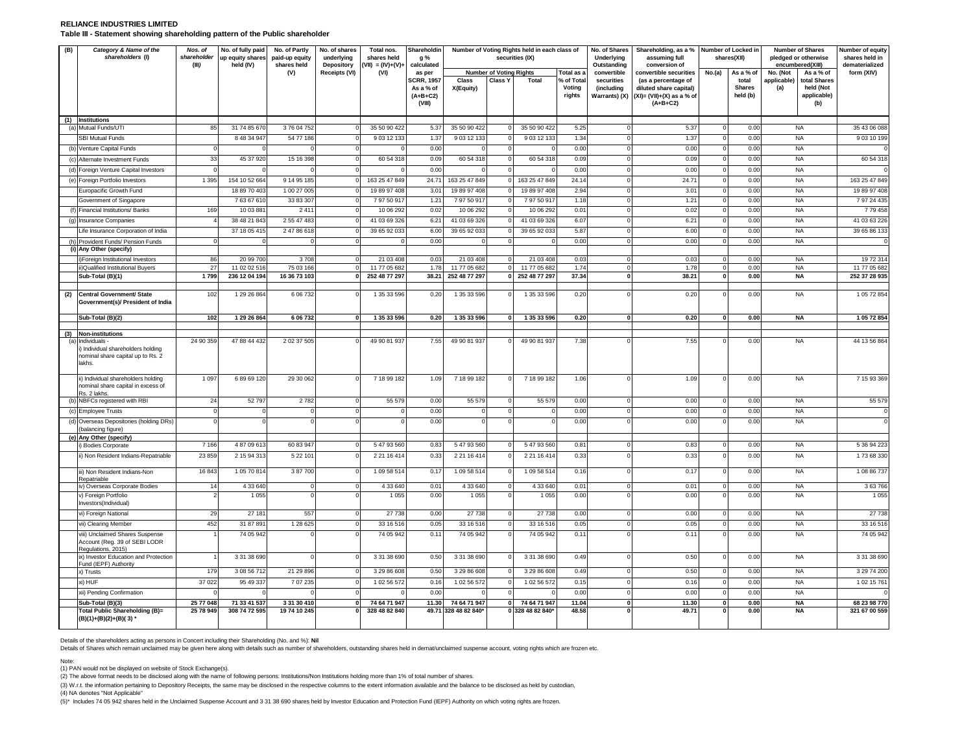### **RELIANCE INDUSTRIES LIMITED Table III - Statement showing shareholding pattern of the Public shareholder**

| (B) | Category & Name of the<br>shareholders (I)                                                                            | Nos. of<br>shareholder<br>(III) | No. of fully paid<br>up equity shares<br>held (IV) | No. of Partly<br>paid-up equity<br>shares held | No. of shares<br>underlying<br>Depository | Total nos.<br>shares held<br>$(VII) = (IV)+(V)+$ | Shareholdin<br>g %<br>calculated                       |                                      |                                | Number of Voting Rights held in each class of<br>securities (IX) |                               | No. of Shares<br>Underlying<br>Outstanding | Shareholding, as a % Number of Locked in<br>assuming full<br>conversion of                  |              | shares(XII)                        | <b>Number of Shares</b><br>pledged or otherwise<br>encumbered(XIII) |                                                 | Number of equity<br>shares held in<br>dematerialized |
|-----|-----------------------------------------------------------------------------------------------------------------------|---------------------------------|----------------------------------------------------|------------------------------------------------|-------------------------------------------|--------------------------------------------------|--------------------------------------------------------|--------------------------------------|--------------------------------|------------------------------------------------------------------|-------------------------------|--------------------------------------------|---------------------------------------------------------------------------------------------|--------------|------------------------------------|---------------------------------------------------------------------|-------------------------------------------------|------------------------------------------------------|
|     |                                                                                                                       |                                 |                                                    | (V)                                            | Receipts (VI)                             | (VI)                                             | as per                                                 |                                      | <b>Number of Voting Rights</b> |                                                                  | Total as a                    | convertible                                | convertible securities                                                                      | No.(a)       | As a % of                          | No. (Not                                                            | As a % of                                       | form (XIV)                                           |
|     |                                                                                                                       |                                 |                                                    |                                                |                                           |                                                  | <b>SCRR, 1957</b><br>As a % of<br>$(A+B+C2)$<br>(VIII) | Class<br>X(Equity)                   | Class Y                        | <b>Total</b>                                                     | % of Tota<br>Voting<br>rights | securities<br>(including<br>Warrants) (X)  | (as a percentage of<br>diluted share capital)<br>$(XI) = (VII)+(X)$ as a % of<br>$(A+B+C2)$ |              | total<br><b>Shares</b><br>held (b) | applicable)<br>(a)                                                  | total Shares<br>held (Not<br>applicable)<br>(b) |                                                      |
|     | (1) Institutions                                                                                                      |                                 |                                                    |                                                |                                           |                                                  |                                                        |                                      |                                |                                                                  |                               |                                            |                                                                                             |              |                                    |                                                                     |                                                 |                                                      |
| (a  | Mutual Funds/UTI                                                                                                      | 85                              | 31 74 85 67                                        | 37604752                                       |                                           | 35 50 90 422                                     | 5.37                                                   | 35 50 90 422                         |                                | 35 50 90 422                                                     | 5.25                          |                                            | 5.37                                                                                        |              | 0.00                               | <b>NA</b>                                                           |                                                 | 35 43 06 088                                         |
|     | <b>SBI Mutual Funds</b>                                                                                               |                                 | 8 48 34 947                                        | 54 77 186                                      |                                           | 9 03 12 133                                      | 1.37                                                   | 9 03 12 133                          |                                | 9 03 12 133                                                      | 1.34                          |                                            | 1.37                                                                                        |              | 0.00                               | <b>NA</b>                                                           |                                                 | 9 03 10 199                                          |
| (b) | Venture Capital Funds                                                                                                 |                                 |                                                    |                                                |                                           |                                                  | 0.00                                                   |                                      |                                |                                                                  | 0.00                          |                                            | 0.00                                                                                        |              | 0.00                               | <b>NA</b>                                                           |                                                 |                                                      |
|     | Alternate Investment Funds                                                                                            | 33                              | 45 37 920                                          | 15 16 398                                      |                                           | 60 54 318                                        | 0.09                                                   | 60 54 318                            |                                | 60 54 31                                                         | 0.09                          |                                            | 0.09                                                                                        |              | 0.00                               | <b>NA</b>                                                           |                                                 | 60 54 31                                             |
|     | (d) Foreign Venture Capital Investors                                                                                 |                                 |                                                    |                                                |                                           |                                                  | 0.00                                                   |                                      |                                |                                                                  | 0.00                          |                                            | 0.00                                                                                        |              | 0.00                               | <b>NA</b>                                                           |                                                 |                                                      |
|     | (e) Foreign Portfolio Investors                                                                                       | 1 3 9 5                         | 154 10 52 664                                      | 9 14 95 185<br>1 00 27 005                     |                                           | 163 25 47 849                                    | 24.71<br>3.0                                           | 163 25 47 849<br>19 89 97 40         |                                | 163 25 47 849                                                    | 24.14<br>2.94                 |                                            | 24.71                                                                                       |              | 0.00<br>0.00                       | <b>NA</b><br><b>NA</b>                                              |                                                 | 163 25 47 849                                        |
|     | Europacific Growth Fund<br>Government of Singapore                                                                    |                                 | 18 89 70 40<br>76367610                            | 33 83 307                                      |                                           | 19 89 97 40<br>7975091                           | 1.21                                                   | 7975091                              |                                | 19 89 97 40<br>7 97 50 917                                       | 1.18                          |                                            | $3.0^{\circ}$<br>1.21                                                                       |              | 0.00                               | <b>NA</b>                                                           |                                                 | 19 89 97 40<br>7 97 24 43                            |
|     | Financial Institutions/ Banks                                                                                         | 169                             | 10 03 88                                           | 241                                            |                                           | 10 06 292                                        | 0.02                                                   | 10 06 29                             |                                | 10 06 292                                                        | 0.01                          |                                            | 0.02                                                                                        |              | 0.00                               | <b>NA</b>                                                           |                                                 | 7 79 458                                             |
| (g) | Insurance Companies                                                                                                   |                                 | 38 48 21 843                                       | 2 55 47 483                                    |                                           | 41 03 69 326                                     | 6.21                                                   | 41 03 69 326                         |                                | 41 03 69 326                                                     | 6.07                          | $\Omega$                                   | 6.21                                                                                        |              | 0.00                               | <b>NA</b>                                                           |                                                 | 41 03 63 22                                          |
|     | Life Insurance Corporation of India                                                                                   |                                 | 37 18 05 41                                        | 2 47 86 618                                    |                                           | 39 65 92 033                                     | 6.00                                                   | 39 65 92 033                         |                                | 39 65 92 033                                                     | 5.87                          |                                            | 6.00                                                                                        |              | 0.00                               | <b>NA</b>                                                           |                                                 | 39 65 86 13                                          |
|     | Provident Funds/ Pension Funds                                                                                        |                                 |                                                    |                                                |                                           |                                                  | 0.00                                                   |                                      |                                |                                                                  | 0.00                          |                                            | 0.00                                                                                        |              | 0.00                               | <b>NA</b>                                                           |                                                 |                                                      |
|     | (i) Any Other (specify)                                                                                               |                                 |                                                    |                                                |                                           |                                                  |                                                        |                                      |                                |                                                                  |                               |                                            |                                                                                             |              |                                    |                                                                     |                                                 |                                                      |
|     | )Foreign Institutional Investors                                                                                      | 86<br>27                        | 20 99 700<br>11 02 02 51                           | 3708<br>75 03 166                              | C                                         | 21 03 408<br>11 77 05 682                        | 0.03<br>1.78                                           | 21 03 408<br>11 77 05 682            | $\Omega$<br>$\Omega$           | 21 03 408<br>11 77 05 682                                        | 0.03                          | $\Omega$<br>$\Omega$                       | 0.03                                                                                        | $\Omega$     | 0.00                               | <b>NA</b>                                                           |                                                 | 1972 314<br>11 77 05 682                             |
|     | ii)Qualified Institutional Buyers<br>Sub-Total (B)(1)                                                                 | 1799                            | 236 12 04 194                                      | 16 36 73 103                                   |                                           | 252 48 77 297                                    | 38.21                                                  | 252 48 77 297                        |                                | 252 48 77 297                                                    | 1.74<br>37.34                 | $\mathbf{0}$                               | 1.78<br>38.21                                                                               | $\mathbf{0}$ | 0.00<br>0.00                       | <b>NA</b><br>NA                                                     |                                                 | 252 37 28 935                                        |
|     |                                                                                                                       |                                 |                                                    |                                                |                                           |                                                  |                                                        |                                      |                                |                                                                  |                               |                                            |                                                                                             |              |                                    |                                                                     |                                                 |                                                      |
| (2) | Central Government/ State<br>Government(s)/ President of India                                                        | 102                             | 1 29 26 864                                        | 6 06 7 32                                      |                                           | 1 35 33 596                                      | 0.20                                                   | 1 35 33 596                          |                                | 1 35 33 596                                                      | 0.20                          |                                            | 0.20                                                                                        |              | 0.00                               | <b>NA</b>                                                           |                                                 | 1 05 72 854                                          |
|     | Sub-Total (B)(2)                                                                                                      | 102                             | 1 29 26 864                                        | 6 06 732                                       | $\mathbf{0}$                              | 1 35 33 596                                      | 0.20                                                   | 1 35 33 596                          | $\mathbf{0}$                   | 1 35 33 596                                                      | 0.20                          | $\mathbf{0}$                               | 0.20                                                                                        | $\mathbf{0}$ | 0.00                               | <b>NA</b>                                                           |                                                 | 1 05 72 854                                          |
|     |                                                                                                                       |                                 |                                                    |                                                |                                           |                                                  |                                                        |                                      |                                |                                                                  |                               |                                            |                                                                                             |              |                                    |                                                                     |                                                 |                                                      |
|     | (3) Non-institutions<br>ndividuals -<br>Individual shareholders holding<br>nominal share capital up to Rs. 2<br>akhs. | 24 90 359                       | 47 88 44 432                                       | 2 02 37 505                                    |                                           | 49 90 81 937                                     | 7.55                                                   | 49 90 81 937                         |                                | 49 90 81 937                                                     | 7.38                          |                                            | 7.55                                                                                        |              | 0.00                               | <b>NA</b>                                                           |                                                 | 44 13 56 864                                         |
|     | ii) Individual shareholders holding<br>nominal share capital in excess of<br>Rs. 2 lakhs.                             | 1 0 9 7                         | 68969120                                           | 29 30 062                                      |                                           | 7 18 99 182                                      | 1.09                                                   | 7 18 99 182                          |                                | 7 18 99 182                                                      | 1.06                          |                                            | 1.09                                                                                        |              | 0.00                               | <b>NA</b>                                                           |                                                 | 7 15 93 369                                          |
|     | NBFCs registered with RBI                                                                                             | 24                              | 52797                                              | 2782                                           |                                           | 55 579                                           | 0.00                                                   | 55 579                               |                                | 55 579                                                           | 0.00                          | $\Omega$                                   | 0.00                                                                                        |              | 0.00                               | <b>NA</b>                                                           |                                                 | 55 579                                               |
|     | <b>Employee Trusts</b>                                                                                                |                                 |                                                    |                                                |                                           |                                                  | 0.00                                                   |                                      |                                |                                                                  | 0.00                          |                                            | 0.00                                                                                        |              | 0.00                               | <b>NA</b>                                                           |                                                 |                                                      |
| (d) | Overseas Depositories (holding DRs)<br>(balancing figure)                                                             |                                 |                                                    |                                                |                                           |                                                  | 0.00                                                   |                                      |                                |                                                                  | 0.00                          |                                            | 0.00                                                                                        |              | 0.00                               | <b>NA</b>                                                           |                                                 |                                                      |
| (e) | Any Other (specify)                                                                                                   |                                 |                                                    |                                                |                                           |                                                  |                                                        |                                      |                                |                                                                  |                               |                                            |                                                                                             |              |                                    |                                                                     |                                                 |                                                      |
|     | ) Bodies Corporate                                                                                                    | 7 1 6 6                         | 4 87 09 61                                         | 60 83 947                                      |                                           | 5 47 93 56                                       | 0.83                                                   | 5 47 93 560                          |                                | 5 47 93 560                                                      | 0.81                          |                                            | 0.83                                                                                        |              | 0.00                               | <b>NA</b>                                                           |                                                 | 5 36 94 223                                          |
|     | ii) Non Resident Indians-Repatriable                                                                                  | 23 859                          | 2 15 94 313                                        | 5 2 2 1 0 1                                    |                                           | 2 21 16 414                                      | 0.33                                                   | 2 21 16 414                          |                                | 2 21 16 414                                                      | 0.33                          |                                            | 0.33                                                                                        |              | 0.00                               | <b>NA</b>                                                           |                                                 | 173 68 330                                           |
|     | iii) Non Resident Indians-Non<br>Repatriable                                                                          | 16843                           | 10570814                                           | 387700                                         |                                           | 109 58 51                                        | 0.1                                                    | 109 58 514                           |                                | 1 09 58 514                                                      | 0.16                          |                                            | 0.17                                                                                        |              | 0.00                               | <b>NA</b>                                                           |                                                 | 1 08 86 73                                           |
|     | iv) Overseas Corporate Bodies                                                                                         | 14                              | 4 3 3 6 4 0                                        |                                                |                                           | 4 33 640                                         | 0.01                                                   | 4 33 640                             |                                | 4 3 3 6 4 0                                                      | 0.01<br>0.00                  | $\mathbf 0$                                | 0.01<br>0.00                                                                                |              | 0.00<br>0.00                       | <b>NA</b><br><b>NA</b>                                              |                                                 | 3 63 766                                             |
|     | v) Foreign Portfolio<br>Investors(Individual)                                                                         |                                 | 1 0 5                                              |                                                |                                           | 1 0 5 5                                          | 0.00                                                   | 1 0 5 5                              |                                | 1 0 5 5                                                          |                               |                                            |                                                                                             |              |                                    |                                                                     |                                                 | 1 0 5 5                                              |
|     | vi) Foreign National                                                                                                  | 29                              | 27 181                                             | 557                                            |                                           | 27 738                                           | 0.00                                                   | 27 738                               |                                | 27 738                                                           | 0.00                          |                                            | 0.00                                                                                        |              | 0.00                               | <b>NA</b>                                                           |                                                 | 27738                                                |
|     | vii) Clearing Member                                                                                                  | 452                             | 31 87 891                                          | 1 28 6 25                                      |                                           | 33 16 51                                         | 0.05                                                   | 33 16 51                             |                                | 33 16 51                                                         | 0.05                          |                                            | 0.05                                                                                        |              | 0.00                               | <b>NA</b>                                                           |                                                 | 33 16 51                                             |
|     | viii) Unclaimed Shares Suspense<br>Account (Reg. 39 of SEBI LODR<br>Regulations, 2015)                                |                                 | 74 05 942                                          |                                                |                                           | 74 05 942                                        | 0.11                                                   | 74 05 942                            |                                | 74 05 942                                                        | 0.11                          |                                            | 0.1                                                                                         |              | 0.00                               | <b>NA</b>                                                           |                                                 | 74 05 94                                             |
|     | x) Investor Education and Protection<br>Fund (IEPF) Authority                                                         |                                 | 3 31 38 690                                        |                                                |                                           | 3 31 38 690                                      | 0.50                                                   | 3 31 38 690                          |                                | 3 31 38 690                                                      | 0.49                          |                                            | 0.50                                                                                        |              | 0.00                               | <b>NA</b>                                                           |                                                 | 3 31 38 690                                          |
|     | x) Trusts                                                                                                             | <b>179</b>                      | 3 08 56 712                                        | 21 29 896                                      |                                           | 3 29 86 608                                      | 0.50                                                   | 3 29 86 608                          |                                | 3 29 86 608                                                      | 0.49                          |                                            | 0.50                                                                                        |              | 0.00                               | <b>NA</b>                                                           |                                                 | 3 29 74 20                                           |
|     | xi) HUF                                                                                                               | 37 0 22                         | 95 49 337                                          | 7 07 235                                       |                                           | 102 56 572                                       | 0.16                                                   | 1 02 56 57                           |                                | 1 02 56 572                                                      | 0.15                          |                                            | 0.16                                                                                        |              | 0.00                               | <b>NA</b>                                                           |                                                 | 1 02 15 76                                           |
|     | xii) Pending Confirmation                                                                                             |                                 |                                                    |                                                |                                           |                                                  | 0.00                                                   |                                      |                                |                                                                  | 0.00                          |                                            | 0.00                                                                                        |              | 0.00                               | <b>NA</b>                                                           |                                                 |                                                      |
|     | Sub-Total (B)(3)<br>Total Public Shareholding (B)=<br>(B)(1)+(B)(2)+(B)(3)'                                           | 25 77 048<br>25 78 949          | 71 33 41 537<br>308 74 72 595                      | 3 31 30 410<br>19 74 10 245                    | $\mathbf{0}$                              | 74 64 71 947<br>328 48 82 840                    | 11.30                                                  | 74 64 71 947<br>49.71 328 48 82 840* | $\mathbf{0}$                   | 74 64 71 947<br>0 328 48 82 840*                                 | 11.04<br>48.58                | $\mathbf{0}$                               | 11.30<br>49.7                                                                               | $\Omega$     | 0.00<br>0.00                       | <b>NA</b><br><b>NA</b>                                              |                                                 | 68 23 98 770<br>321 67 00 559                        |

Details of the shareholders acting as persons in Concert including their Shareholding (No. and %): **Nil**

Details of Shares which remain unclaimed may be given here along with details such as number of shareholders, outstanding shares held in demat/unclaimed suspense account, voting rights which are frozen etc.

Note:

(1) PAN would not be displayed on website of Stock Exchange(s).

(2) The above format needs to be disclosed along with the name of following persons: Institutions/Non Institutions holding more than 1% of total number of shares.

(3) W.r.t. the information pertaining to Depository Receipts, the same may be disclosed in the respective columns to the extent information available and the balance to be disclosed as held by custodian,

(4) NA denotes "Not Applicable"

(5)\* Includes 74 05 942 shares held in the Unclaimed Suspense Account and 3 31 38 690 shares held by Investor Education and Protection Fund (IEPF) Authority on which voting rights are frozen.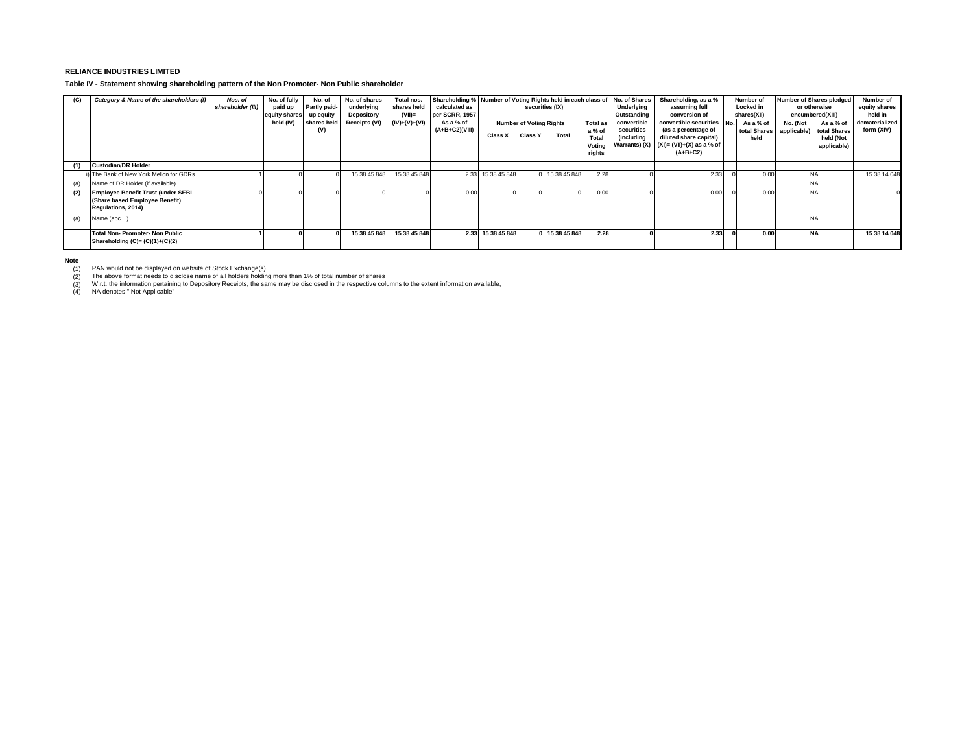## **RELIANCE INDUSTRIES LIMITED**

**Table IV - Statement showing shareholding pattern of the Non Promoter- Non Public shareholder**

| (C) | Category & Name of the shareholders (I)                                                           | Nos. of<br>shareholder (III) | No. of fully<br>paid up<br>equity shares<br>held (IV) | No. of<br>Partly paid-<br>up equity<br>shares held<br>(V) | No. of shares<br>underlying<br>Depository<br>Receipts (VI) | Total nos.<br>shares held<br>$(VII)$ =<br>$(IV)+(V)+(V)$ | calculated as<br>per SCRR, 1957<br>As a % of<br>$(A+B+C2)(VIII)$ | Shareholding % Number of Voting Rights held in each class of<br>securities (IX)<br><b>Total as</b><br><b>Number of Voting Rights</b><br>a % of<br><b>Class Y</b><br>Class X<br>Total |  | No. of Shares<br>Underlying<br>Outstanding<br>convertible<br>securities | Shareholding, as a %<br>assuming full<br>conversion of<br>convertible securities<br>(as a percentage of | Number of<br>Locked in<br>shares(XII)<br>As a % of<br>total Shares | Number of Shares pledged<br>or otherwise<br>encumbered(XIII)<br>No. (Not<br>applicable) | As a % of<br>total Shares | Number of<br>equity shares<br>held in<br>dematerialized<br>form (XIV) |                          |              |
|-----|---------------------------------------------------------------------------------------------------|------------------------------|-------------------------------------------------------|-----------------------------------------------------------|------------------------------------------------------------|----------------------------------------------------------|------------------------------------------------------------------|--------------------------------------------------------------------------------------------------------------------------------------------------------------------------------------|--|-------------------------------------------------------------------------|---------------------------------------------------------------------------------------------------------|--------------------------------------------------------------------|-----------------------------------------------------------------------------------------|---------------------------|-----------------------------------------------------------------------|--------------------------|--------------|
|     |                                                                                                   |                              |                                                       |                                                           |                                                            |                                                          |                                                                  |                                                                                                                                                                                      |  |                                                                         | Total<br>Votina<br>rights                                                                               | (including                                                         | diluted share capital)<br>Warrants) (X) $(XI) = (VII)+(X)$ as a % of<br>$(A+B+C2)$      | held                      |                                                                       | held (Not<br>applicable) |              |
|     | <b>Custodian/DR Holder</b>                                                                        |                              |                                                       |                                                           |                                                            |                                                          |                                                                  |                                                                                                                                                                                      |  |                                                                         |                                                                                                         |                                                                    |                                                                                         |                           |                                                                       |                          |              |
|     | The Bank of New York Mellon for GDRs                                                              |                              |                                                       |                                                           | 15 38 45 848                                               | 15 38 45 848                                             |                                                                  | 2.33 15 38 45 848                                                                                                                                                                    |  | 15 38 45 848                                                            | 2.28                                                                                                    |                                                                    | 2.33                                                                                    | 0.00                      | <b>NA</b>                                                             |                          | 15 38 14 048 |
| (a) | Name of DR Holder (if available)                                                                  |                              |                                                       |                                                           |                                                            |                                                          |                                                                  |                                                                                                                                                                                      |  |                                                                         |                                                                                                         |                                                                    |                                                                                         |                           | <b>NA</b>                                                             |                          |              |
| (2) | <b>Employee Benefit Trust (under SEBI</b><br>(Share based Employee Benefit)<br>Regulations, 2014) |                              |                                                       |                                                           |                                                            |                                                          | 0.00                                                             |                                                                                                                                                                                      |  |                                                                         | 0.00                                                                                                    |                                                                    | 0.00                                                                                    | 0.00                      | <b>NA</b>                                                             |                          |              |
| (a) | Name (abc)                                                                                        |                              |                                                       |                                                           |                                                            |                                                          |                                                                  |                                                                                                                                                                                      |  |                                                                         |                                                                                                         |                                                                    |                                                                                         |                           | <b>NA</b>                                                             |                          |              |
|     | <b>Total Non-Promoter-Non Public</b><br>Shareholding $(C)=(C)(1)+(C)(2)$                          |                              |                                                       |                                                           | 15 38 45 848                                               | 15 38 45 848                                             |                                                                  | 2.33 15 38 45 848                                                                                                                                                                    |  | 15 38 45 848                                                            | 2.28                                                                                                    |                                                                    | 2.33                                                                                    | 0.00                      | <b>NA</b>                                                             |                          | 15 38 14 048 |

**N<u>ote</u>**<br>(1) PAN would not be displayed on website of Stock Exchange(s).<br>(2) The above format needs to disclose name of all holders holding more than 1% of total number of shares

(1) PAN would not be displayed on website of Stock Exchange(s).<br>(2) The above format needs to disclose name of all holders holding more than 1% of total number of shares<br>(3) W.r.t. the information pertaining to Depository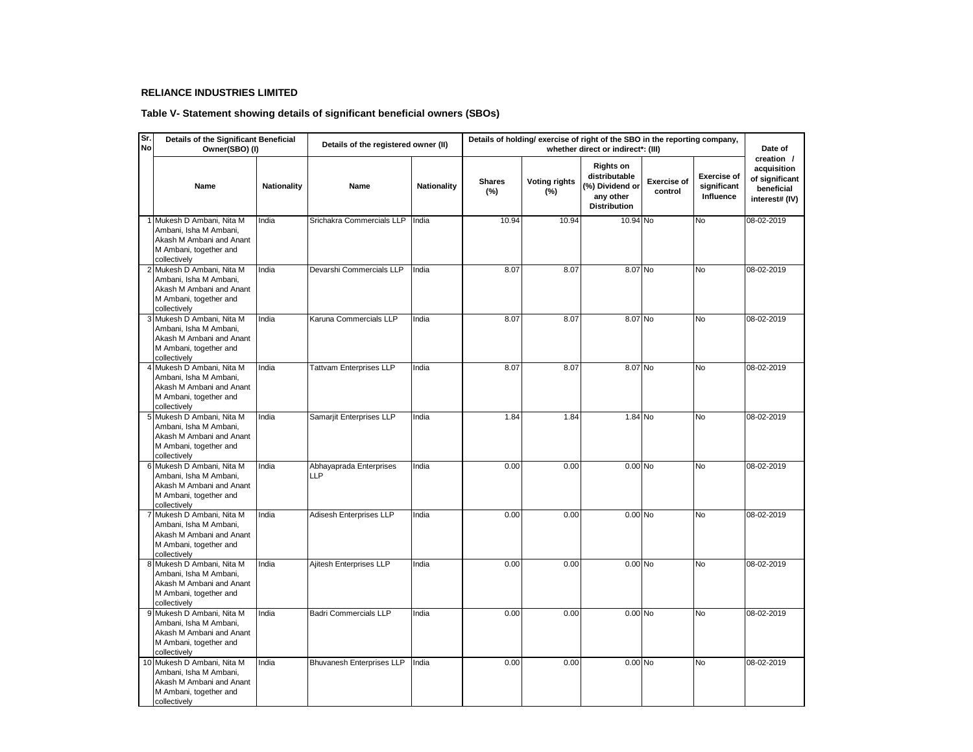## **RELIANCE INDUSTRIES LIMITED**

# **Table V- Statement showing details of significant beneficial owners (SBOs)**

| Sr.<br>Details of the Significant Beneficial<br>Details of holding/ exercise of right of the SBO in the reporting company,<br>Details of the registered owner (II)<br>No<br>Owner(SBO) (I)<br>whether direct or indirect*: (III) |                                                                                                                            |                    |                                       |             |                      |                             |                                                                                          |                               | Date of                                        |                                                                             |
|----------------------------------------------------------------------------------------------------------------------------------------------------------------------------------------------------------------------------------|----------------------------------------------------------------------------------------------------------------------------|--------------------|---------------------------------------|-------------|----------------------|-----------------------------|------------------------------------------------------------------------------------------|-------------------------------|------------------------------------------------|-----------------------------------------------------------------------------|
|                                                                                                                                                                                                                                  | Name                                                                                                                       | <b>Nationality</b> | Name                                  | Nationality | <b>Shares</b><br>(%) | <b>Voting rights</b><br>(%) | <b>Rights on</b><br>distributable<br>(%) Dividend or<br>any other<br><b>Distribution</b> | <b>Exercise of</b><br>control | <b>Exercise of</b><br>significant<br>Influence | creation /<br>acquisition<br>of significant<br>beneficial<br>interest# (IV) |
|                                                                                                                                                                                                                                  | 1 Mukesh D Ambani, Nita M<br>Ambani, Isha M Ambani,<br>Akash M Ambani and Anant<br>M Ambani, together and<br>collectively  | India              | Srichakra Commercials LLP             | India       | 10.94                | 10.94                       | 10.94 No                                                                                 |                               | <b>No</b>                                      | 08-02-2019                                                                  |
|                                                                                                                                                                                                                                  | 2 Mukesh D Ambani, Nita M<br>Ambani, Isha M Ambani,<br>Akash M Ambani and Anant<br>M Ambani, together and<br>collectively  | India              | Devarshi Commercials LLP              | India       | 8.07                 | 8.07                        | 8.07 No                                                                                  |                               | No                                             | 08-02-2019                                                                  |
|                                                                                                                                                                                                                                  | 3 Mukesh D Ambani, Nita M<br>Ambani, Isha M Ambani,<br>Akash M Ambani and Anant<br>M Ambani, together and<br>collectively  | India              | Karuna Commercials LLP                | India       | 8.07                 | 8.07                        | 8.07 No                                                                                  |                               | No                                             | 08-02-2019                                                                  |
|                                                                                                                                                                                                                                  | 4 Mukesh D Ambani, Nita M<br>Ambani, Isha M Ambani,<br>Akash M Ambani and Anant<br>M Ambani, together and<br>collectively  | India              | <b>Tattvam Enterprises LLP</b>        | India       | 8.07                 | 8.07                        | 8.07 No                                                                                  |                               | N <sub>o</sub>                                 | 08-02-2019                                                                  |
|                                                                                                                                                                                                                                  | 5 Mukesh D Ambani, Nita M<br>Ambani. Isha M Ambani.<br>Akash M Ambani and Anant<br>M Ambani, together and<br>collectively  | India              | Samarjit Enterprises LLP              | India       | 1.84                 | 1.84                        | 1.84 No                                                                                  |                               | No                                             | 08-02-2019                                                                  |
|                                                                                                                                                                                                                                  | 6 Mukesh D Ambani, Nita M<br>Ambani, Isha M Ambani,<br>Akash M Ambani and Anant<br>M Ambani, together and<br>collectively  | India              | Abhayaprada Enterprises<br><b>LLP</b> | India       | 0.00                 | 0.00                        | $0.00$ No                                                                                |                               | No                                             | 08-02-2019                                                                  |
|                                                                                                                                                                                                                                  | 7 Mukesh D Ambani, Nita M<br>Ambani. Isha M Ambani.<br>Akash M Ambani and Anant<br>M Ambani, together and<br>collectively  | India              | Adisesh Enterprises LLP               | India       | 0.00                 | 0.00                        | $0.00$ No                                                                                |                               | No                                             | 08-02-2019                                                                  |
|                                                                                                                                                                                                                                  | 8 Mukesh D Ambani, Nita M<br>Ambani, Isha M Ambani,<br>Akash M Ambani and Anant<br>M Ambani, together and<br>collectively  | India              | Ajitesh Enterprises LLP               | India       | 0.00                 | 0.00                        | $0.00$ No                                                                                |                               | <b>No</b>                                      | 08-02-2019                                                                  |
|                                                                                                                                                                                                                                  | 9 Mukesh D Ambani, Nita M<br>Ambani, Isha M Ambani,<br>Akash M Ambani and Anant<br>M Ambani, together and<br>collectively  | India              | <b>Badri Commercials LLP</b>          | India       | 0.00                 | 0.00                        | 0.00 No                                                                                  |                               | No                                             | 08-02-2019                                                                  |
|                                                                                                                                                                                                                                  | 10 Mukesh D Ambani, Nita M<br>Ambani, Isha M Ambani,<br>Akash M Ambani and Anant<br>M Ambani, together and<br>collectively | India              | Bhuvanesh Enterprises LLP             | India       | 0.00                 | 0.00                        | 0.00 No                                                                                  |                               | No                                             | 08-02-2019                                                                  |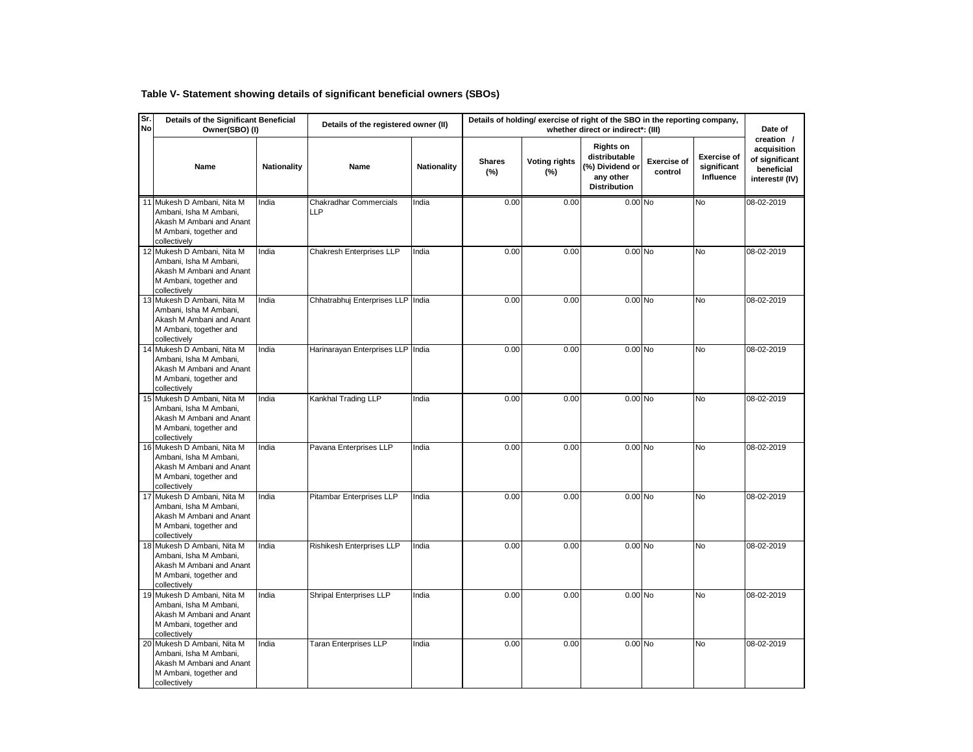# **Table V- Statement showing details of significant beneficial owners (SBOs)**

| Sr.<br><b>No</b> | Details of the Significant Beneficial<br>Owner(SBO) (I)                                                                    |                    | Details of the registered owner (II)        |             | Details of holding/ exercise of right of the SBO in the reporting company, |                             | Date of                                                                                  |                               |                                                |                                                                             |
|------------------|----------------------------------------------------------------------------------------------------------------------------|--------------------|---------------------------------------------|-------------|----------------------------------------------------------------------------|-----------------------------|------------------------------------------------------------------------------------------|-------------------------------|------------------------------------------------|-----------------------------------------------------------------------------|
|                  | Name                                                                                                                       | <b>Nationality</b> | Name                                        | Nationality | <b>Shares</b><br>(%)                                                       | <b>Voting rights</b><br>(%) | <b>Rights on</b><br>distributable<br>(%) Dividend or<br>any other<br><b>Distribution</b> | <b>Exercise of</b><br>control | <b>Exercise of</b><br>significant<br>Influence | creation /<br>acquisition<br>of significant<br>beneficial<br>interest# (IV) |
|                  | 11 Mukesh D Ambani, Nita M<br>Ambani, Isha M Ambani,<br>Akash M Ambani and Anant<br>M Ambani, together and<br>collectively | India              | <b>Chakradhar Commercials</b><br><b>LLP</b> | India       | 0.00                                                                       | 0.00                        | $0.00$ No                                                                                |                               | <b>No</b>                                      | 08-02-2019                                                                  |
|                  | 12 Mukesh D Ambani, Nita M<br>Ambani, Isha M Ambani,<br>Akash M Ambani and Anant<br>M Ambani, together and<br>collectively | India              | Chakresh Enterprises LLP                    | India       | 0.00                                                                       | 0.00                        | 0.00 No                                                                                  |                               | <b>No</b>                                      | 08-02-2019                                                                  |
|                  | 13 Mukesh D Ambani, Nita M<br>Ambani. Isha M Ambani.<br>Akash M Ambani and Anant<br>M Ambani, together and<br>collectively | India              | Chhatrabhuj Enterprises LLP India           |             | 0.00                                                                       | 0.00                        | $0.00$ No                                                                                |                               | N <sub>0</sub>                                 | 08-02-2019                                                                  |
|                  | 14 Mukesh D Ambani, Nita M<br>Ambani, Isha M Ambani,<br>Akash M Ambani and Anant<br>M Ambani, together and<br>collectively | India              | Harinarayan Enterprises LLP India           |             | 0.00                                                                       | 0.00                        | $0.00$ No                                                                                |                               | <b>No</b>                                      | 08-02-2019                                                                  |
|                  | 15 Mukesh D Ambani, Nita M<br>Ambani, Isha M Ambani,<br>Akash M Ambani and Anant<br>M Ambani, together and<br>collectively | India              | Kankhal Trading LLP                         | India       | 0.00                                                                       | 0.00                        | $0.00$ No                                                                                |                               | <b>No</b>                                      | 08-02-2019                                                                  |
|                  | 16 Mukesh D Ambani, Nita M<br>Ambani, Isha M Ambani,<br>Akash M Ambani and Anant<br>M Ambani, together and<br>collectively | India              | Pavana Enterprises LLP                      | India       | 0.00                                                                       | 0.00                        | $0.00$ No                                                                                |                               | N <sub>o</sub>                                 | 08-02-2019                                                                  |
|                  | 17 Mukesh D Ambani, Nita M<br>Ambani, Isha M Ambani,<br>Akash M Ambani and Anant<br>M Ambani, together and<br>collectively | India              | Pitambar Enterprises LLP                    | India       | 0.00                                                                       | 0.00                        | $0.00$ No                                                                                |                               | <b>No</b>                                      | 08-02-2019                                                                  |
|                  | 18 Mukesh D Ambani, Nita M<br>Ambani, Isha M Ambani,<br>Akash M Ambani and Anant<br>M Ambani, together and<br>collectively | India              | Rishikesh Enterprises LLP                   | India       | 0.00                                                                       | 0.00                        | $0.00$ No                                                                                |                               | <b>No</b>                                      | 08-02-2019                                                                  |
|                  | 19 Mukesh D Ambani, Nita M<br>Ambani, Isha M Ambani,<br>Akash M Ambani and Anant<br>M Ambani, together and<br>collectively | India              | Shripal Enterprises LLP                     | India       | 0.00                                                                       | 0.00                        | $0.00$ No                                                                                |                               | No                                             | 08-02-2019                                                                  |
|                  | 20 Mukesh D Ambani, Nita M<br>Ambani, Isha M Ambani,<br>Akash M Ambani and Anant<br>M Ambani, together and<br>collectively | India              | <b>Taran Enterprises LLP</b>                | India       | 0.00                                                                       | 0.00                        | 0.00 No                                                                                  |                               | No                                             | 08-02-2019                                                                  |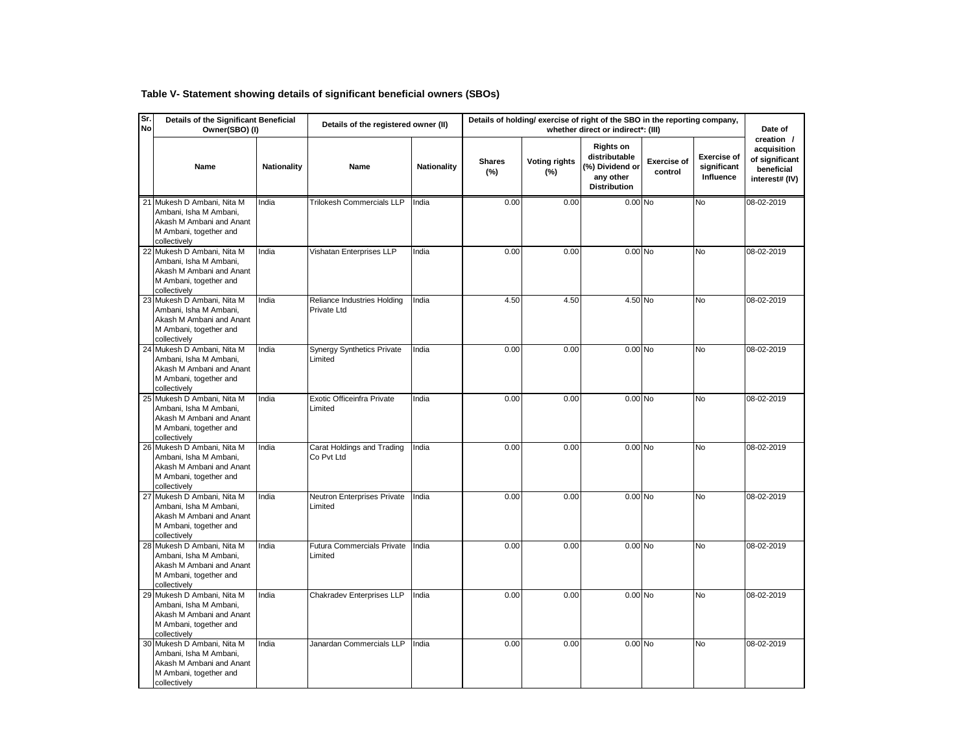# **Table V- Statement showing details of significant beneficial owners (SBOs)**

| Sr.<br><b>No</b> | Details of the Significant Beneficial<br>Owner(SBO) (I)                                                                    |                    | Details of the registered owner (II)         |             | Details of holding/ exercise of right of the SBO in the reporting company, |                             | Date of                                                                                  |                               |                                                |                                                                             |
|------------------|----------------------------------------------------------------------------------------------------------------------------|--------------------|----------------------------------------------|-------------|----------------------------------------------------------------------------|-----------------------------|------------------------------------------------------------------------------------------|-------------------------------|------------------------------------------------|-----------------------------------------------------------------------------|
|                  | Name                                                                                                                       | <b>Nationality</b> | Name                                         | Nationality | <b>Shares</b><br>(%)                                                       | <b>Voting rights</b><br>(%) | <b>Rights on</b><br>distributable<br>(%) Dividend or<br>any other<br><b>Distribution</b> | <b>Exercise of</b><br>control | <b>Exercise of</b><br>significant<br>Influence | creation /<br>acquisition<br>of significant<br>beneficial<br>interest# (IV) |
|                  | 21 Mukesh D Ambani, Nita M<br>Ambani, Isha M Ambani,<br>Akash M Ambani and Anant<br>M Ambani, together and<br>collectively | India              | <b>Trilokesh Commercials LLP</b>             | India       | 0.00                                                                       | 0.00                        | $0.00$ No                                                                                |                               | <b>No</b>                                      | 08-02-2019                                                                  |
|                  | 22 Mukesh D Ambani, Nita M<br>Ambani, Isha M Ambani,<br>Akash M Ambani and Anant<br>M Ambani, together and<br>collectively | India              | Vishatan Enterprises LLP                     | India       | 0.00                                                                       | 0.00                        | 0.00 No                                                                                  |                               | N <sub>o</sub>                                 | 08-02-2019                                                                  |
|                  | 23 Mukesh D Ambani, Nita M<br>Ambani. Isha M Ambani.<br>Akash M Ambani and Anant<br>M Ambani, together and<br>collectively | India              | Reliance Industries Holding<br>Private Ltd   | India       | 4.50                                                                       | 4.50                        | 4.50 No                                                                                  |                               | N <sub>0</sub>                                 | 08-02-2019                                                                  |
|                  | 24 Mukesh D Ambani, Nita M<br>Ambani, Isha M Ambani,<br>Akash M Ambani and Anant<br>M Ambani, together and<br>collectively | India              | <b>Synergy Synthetics Private</b><br>Limited | India       | 0.00                                                                       | 0.00                        | $0.00$ No                                                                                |                               | <b>No</b>                                      | 08-02-2019                                                                  |
|                  | 25 Mukesh D Ambani, Nita M<br>Ambani, Isha M Ambani,<br>Akash M Ambani and Anant<br>M Ambani, together and<br>collectively | India              | Exotic Officeinfra Private<br>Limited        | India       | 0.00                                                                       | 0.00                        | $0.00$ No                                                                                |                               | <b>No</b>                                      | 08-02-2019                                                                  |
|                  | 26 Mukesh D Ambani, Nita M<br>Ambani, Isha M Ambani,<br>Akash M Ambani and Anant<br>M Ambani, together and<br>collectively | India              | Carat Holdings and Trading<br>Co Pvt Ltd     | India       | 0.00                                                                       | 0.00                        | $0.00$ No                                                                                |                               | N <sub>o</sub>                                 | 08-02-2019                                                                  |
|                  | 27 Mukesh D Ambani, Nita M<br>Ambani, Isha M Ambani,<br>Akash M Ambani and Anant<br>M Ambani, together and<br>collectively | India              | Neutron Enterprises Private<br>Limited       | India       | 0.00                                                                       | 0.00                        | $0.00$ No                                                                                |                               | <b>No</b>                                      | 08-02-2019                                                                  |
|                  | 28 Mukesh D Ambani, Nita M<br>Ambani, Isha M Ambani,<br>Akash M Ambani and Anant<br>M Ambani, together and<br>collectively | India              | Futura Commercials Private<br>Limited        | India       | 0.00                                                                       | 0.00                        | $0.00$ No                                                                                |                               | <b>No</b>                                      | 08-02-2019                                                                  |
|                  | 29 Mukesh D Ambani, Nita M<br>Ambani, Isha M Ambani,<br>Akash M Ambani and Anant<br>M Ambani, together and<br>collectively | India              | Chakradev Enterprises LLP                    | India       | 0.00                                                                       | 0.00                        | $0.00$ No                                                                                |                               | No                                             | 08-02-2019                                                                  |
|                  | 30 Mukesh D Ambani, Nita M<br>Ambani, Isha M Ambani,<br>Akash M Ambani and Anant<br>M Ambani, together and<br>collectively | India              | Janardan Commercials LLP                     | India       | 0.00                                                                       | 0.00                        | 0.00 No                                                                                  |                               | No                                             | 08-02-2019                                                                  |